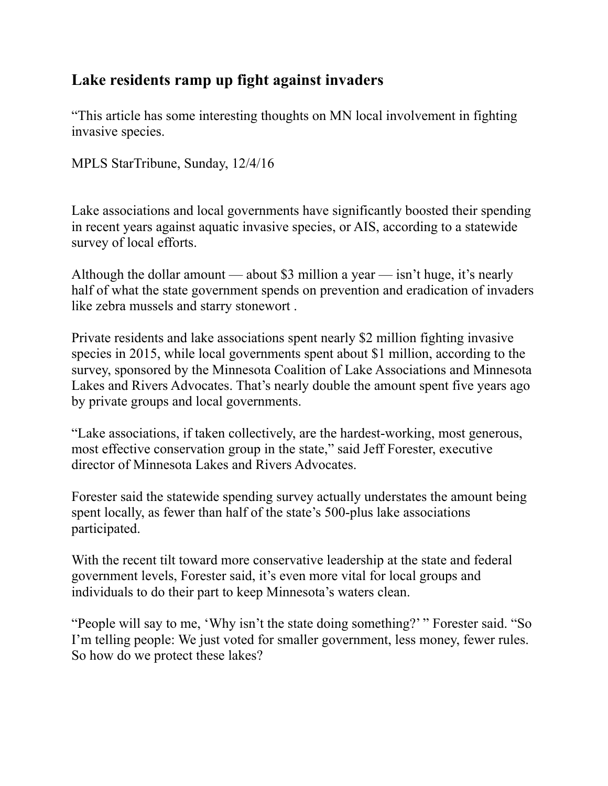## **Lake residents ramp up fight against invaders**

"This article has some interesting thoughts on MN local involvement in fighting invasive species.

MPLS StarTribune, Sunday, 12/4/16

Lake associations and local governments have significantly boosted their spending in recent years against aquatic invasive species, or AIS, according to a statewide survey of local efforts.

Although the dollar amount — about \$3 million a year — isn't huge, it's nearly half of what the state government spends on prevention and eradication of invaders like zebra mussels and starry stonewort .

Private residents and lake associations spent nearly \$2 million fighting invasive species in 2015, while local governments spent about \$1 million, according to the survey, sponsored by the Minnesota Coalition of Lake Associations and Minnesota Lakes and Rivers Advocates. That's nearly double the amount spent five years ago by private groups and local governments.

"Lake associations, if taken collectively, are the hardest-working, most generous, most effective conservation group in the state," said Jeff Forester, executive director of Minnesota Lakes and Rivers Advocates.

Forester said the statewide spending survey actually understates the amount being spent locally, as fewer than half of the state's 500-plus lake associations participated.

With the recent tilt toward more conservative leadership at the state and federal government levels, Forester said, it's even more vital for local groups and individuals to do their part to keep Minnesota's waters clean.

"People will say to me, 'Why isn't the state doing something?' " Forester said. "So I'm telling people: We just voted for smaller government, less money, fewer rules. So how do we protect these lakes?